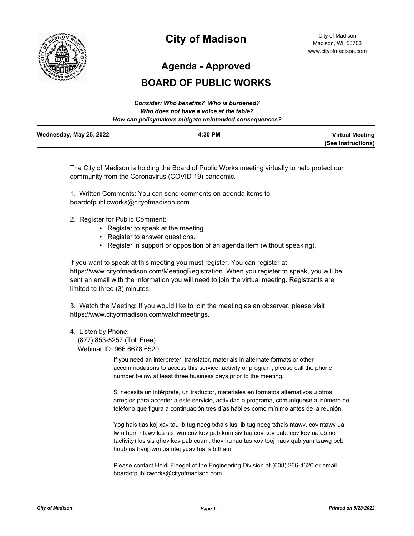

# **City of Madison**

**Agenda - Approved**

## **BOARD OF PUBLIC WORKS**

|                         | Consider: Who benefits? Who is burdened?               |                        |
|-------------------------|--------------------------------------------------------|------------------------|
|                         | Who does not have a voice at the table?                |                        |
|                         | How can policymakers mitigate unintended consequences? |                        |
| Wednesday, May 25, 2022 | 4:30 PM                                                | <b>Virtual Meeting</b> |
|                         |                                                        | (See Instructions)     |

The City of Madison is holding the Board of Public Works meeting virtually to help protect our community from the Coronavirus (COVID-19) pandemic.

1. Written Comments: You can send comments on agenda items to boardofpublicworks@cityofmadison.com

- 2. Register for Public Comment:
	- Register to speak at the meeting.
	- Register to answer questions.
	- Register in support or opposition of an agenda item (without speaking).

If you want to speak at this meeting you must register. You can register at https://www.cityofmadison.com/MeetingRegistration. When you register to speak, you will be sent an email with the information you will need to join the virtual meeting. Registrants are limited to three (3) minutes.

3. Watch the Meeting: If you would like to join the meeting as an observer, please visit https://www.cityofmadison.com/watchmeetings.

## 4. Listen by Phone:

 (877) 853-5257 (Toll Free) Webinar ID: 966 6678 6520

> If you need an interpreter, translator, materials in alternate formats or other accommodations to access this service, activity or program, please call the phone number below at least three business days prior to the meeting.

Si necesita un intérprete, un traductor, materiales en formatos alternativos u otros arreglos para acceder a este servicio, actividad o programa, comuníquese al número de teléfono que figura a continuación tres días hábiles como mínimo antes de la reunión.

Yog hais tias koj xav tau ib tug neeg txhais lus, ib tug neeg txhais ntawv, cov ntawv ua lwm hom ntawv los sis lwm cov kev pab kom siv tau cov kev pab, cov kev ua ub no (activity) los sis qhov kev pab cuam, thov hu rau tus xov tooj hauv qab yam tsawg peb hnub ua hauj lwm ua ntej yuav tuaj sib tham.

Please contact Heidi Fleegel of the Engineering Division at (608) 266-4620 or email boardofpublicworks@cityofmadison.com.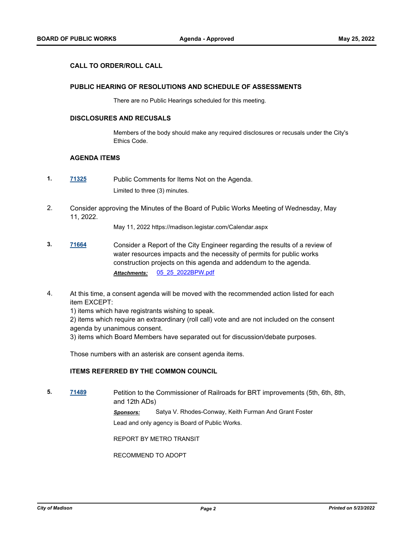## **CALL TO ORDER/ROLL CALL**

## **PUBLIC HEARING OF RESOLUTIONS AND SCHEDULE OF ASSESSMENTS**

There are no Public Hearings scheduled for this meeting.

## **DISCLOSURES AND RECUSALS**

Members of the body should make any required disclosures or recusals under the City's Ethics Code.

#### **AGENDA ITEMS**

- **1. [71325](http://madison.legistar.com/gateway.aspx?m=l&id=/matter.aspx?key=83264)** Public Comments for Items Not on the Agenda. Limited to three (3) minutes.
- 2. Consider approving the Minutes of the Board of Public Works Meeting of Wednesday, May 11, 2022.

May 11, 2022 https://madison.legistar.com/Calendar.aspx

- **3. [71664](http://madison.legistar.com/gateway.aspx?m=l&id=/matter.aspx?key=83534)** Consider a Report of the City Engineer regarding the results of a review of water resources impacts and the necessity of permits for public works construction projects on this agenda and addendum to the agenda. *Attachments:* [05\\_25\\_2022BPW.pdf](http://madison.legistar.com/gateway.aspx?M=F&ID=4da00025-c961-43d1-932e-0228e7e9d5b0.pdf)
- 4. At this time, a consent agenda will be moved with the recommended action listed for each item EXCEPT:

1) items which have registrants wishing to speak.

2) items which require an extraordinary (roll call) vote and are not included on the consent agenda by unanimous consent.

3) items which Board Members have separated out for discussion/debate purposes.

Those numbers with an asterisk are consent agenda items.

## **ITEMS REFERRED BY THE COMMON COUNCIL**

**5. [71489](http://madison.legistar.com/gateway.aspx?m=l&id=/matter.aspx?key=83387)** Petition to the Commissioner of Railroads for BRT improvements (5th, 6th, 8th, and 12th ADs)

*Sponsors:* Satya V. Rhodes-Conway, Keith Furman And Grant Foster

Lead and only agency is Board of Public Works.

REPORT BY METRO TRANSIT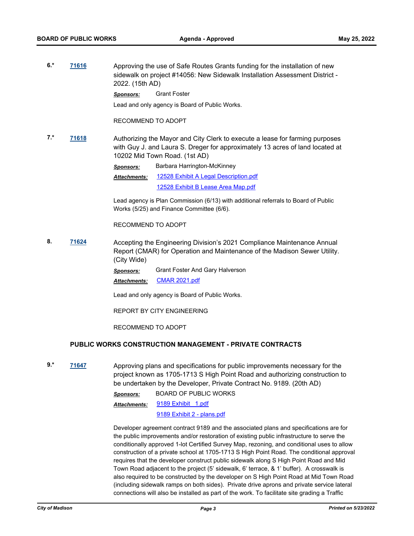**6.\* [71616](http://madison.legistar.com/gateway.aspx?m=l&id=/matter.aspx?key=83486)** Approving the use of Safe Routes Grants funding for the installation of new sidewalk on project #14056: New Sidewalk Installation Assessment District - 2022. (15th AD)

*Sponsors:* Grant Foster

Lead and only agency is Board of Public Works.

#### RECOMMEND TO ADOPT

**7.\* [71618](http://madison.legistar.com/gateway.aspx?m=l&id=/matter.aspx?key=83488)** Authorizing the Mayor and City Clerk to execute a lease for farming purposes with Guy J. and Laura S. Dreger for approximately 13 acres of land located at 10202 Mid Town Road. (1st AD)

> *Sponsors:* Barbara Harrington-McKinney [12528 Exhibit A Legal Description.pdf](http://madison.legistar.com/gateway.aspx?M=F&ID=bfab4007-8c27-42d8-92d3-99f56543362e.pdf) [12528 Exhibit B Lease Area Map.pdf](http://madison.legistar.com/gateway.aspx?M=F&ID=6f42e524-f8f1-46dd-8490-cca1e64781bd.pdf) *Attachments:*

Lead agency is Plan Commission (6/13) with additional referrals to Board of Public Works (5/25) and Finance Committee (6/6).

RECOMMEND TO ADOPT

**8. [71624](http://madison.legistar.com/gateway.aspx?m=l&id=/matter.aspx?key=83494)** Accepting the Engineering Division's 2021 Compliance Maintenance Annual Report (CMAR) for Operation and Maintenance of the Madison Sewer Utility. (City Wide)

> *Sponsors:* Grant Foster And Gary Halverson *Attachments:* [CMAR 2021.pdf](http://madison.legistar.com/gateway.aspx?M=F&ID=19155adf-73f7-4417-b357-a82f83f7e98a.pdf)

Lead and only agency is Board of Public Works.

REPORT BY CITY ENGINEERING

RECOMMEND TO ADOPT

## **PUBLIC WORKS CONSTRUCTION MANAGEMENT - PRIVATE CONTRACTS**

**9.\* [71647](http://madison.legistar.com/gateway.aspx?m=l&id=/matter.aspx?key=83517)** Approving plans and specifications for public improvements necessary for the project known as 1705-1713 S High Point Road and authorizing construction to be undertaken by the Developer, Private Contract No. 9189. (20th AD)

> *Sponsors:* BOARD OF PUBLIC WORKS 9189 Exhibit 1.pdf *Attachments:*

> > [9189 Exhibit 2 - plans.pdf](http://madison.legistar.com/gateway.aspx?M=F&ID=f6f5ce81-7e55-4040-b44e-5d4c2e779d2f.pdf)

Developer agreement contract 9189 and the associated plans and specifications are for the public improvements and/or restoration of existing public infrastructure to serve the conditionally approved 1-lot Certified Survey Map, rezoning, and conditional uses to allow construction of a private school at 1705-1713 S High Point Road. The conditional approval requires that the developer construct public sidewalk along S High Point Road and Mid Town Road adjacent to the project (5' sidewalk, 6' terrace, & 1' buffer). A crosswalk is also required to be constructed by the developer on S High Point Road at Mid Town Road (including sidewalk ramps on both sides). Private drive aprons and private service lateral connections will also be installed as part of the work. To facilitate site grading a Traffic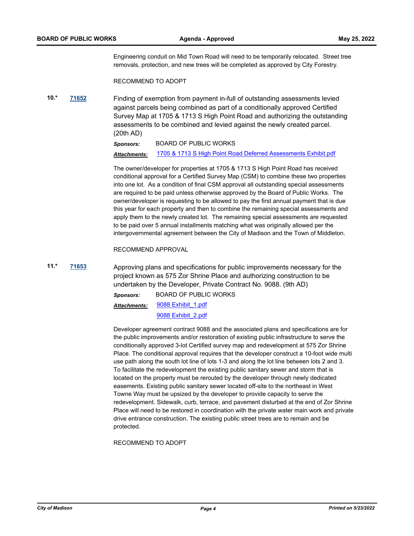Engineering conduit on Mid Town Road will need to be temporarily relocated. Street tree removals, protection, and new trees will be completed as approved by City Forestry.

RECOMMEND TO ADOPT

**10.\* [71652](http://madison.legistar.com/gateway.aspx?m=l&id=/matter.aspx?key=83522)** Finding of exemption from payment in-full of outstanding assessments levied against parcels being combined as part of a conditionally approved Certified Survey Map at 1705 & 1713 S High Point Road and authorizing the outstanding assessments to be combined and levied against the newly created parcel. (20th AD)

> *Sponsors:* BOARD OF PUBLIC WORKS *Attachments:* [1705 & 1713 S High Point Road Deferred Assessments Exhibit.pdf](http://madison.legistar.com/gateway.aspx?M=F&ID=30f2bf9a-77be-421e-bc22-71367a0dc71f.pdf)

The owner/developer for properties at 1705 & 1713 S High Point Road has received conditional approval for a Certified Survey Map (CSM) to combine these two properties into one lot. As a condition of final CSM approval all outstanding special assessments are required to be paid unless otherwise approved by the Board of Public Works. The owner/developer is requesting to be allowed to pay the first annual payment that is due this year for each property and then to combine the remaining special assessments and apply them to the newly created lot. The remaining special assessments are requested to be paid over 5 annual installments matching what was originally allowed per the intergovernmental agreement between the City of Madison and the Town of Middleton.

RECOMMEND APPROVAL

**11.\* [71653](http://madison.legistar.com/gateway.aspx?m=l&id=/matter.aspx?key=83523)** Approving plans and specifications for public improvements necessary for the project known as 575 Zor Shrine Place and authorizing construction to be undertaken by the Developer, Private Contract No. 9088. (9th AD)

> *Sponsors:* BOARD OF PUBLIC WORKS [9088 Exhibit\\_1.pdf](http://madison.legistar.com/gateway.aspx?M=F&ID=3b48c505-053b-46ff-b4dc-8024e3a9c2b4.pdf) [9088 Exhibit\\_2.pdf](http://madison.legistar.com/gateway.aspx?M=F&ID=b58e3bd6-53e6-438d-a36e-34588b893f1d.pdf) *Attachments:*

Developer agreement contract 9088 and the associated plans and specifications are for the public improvements and/or restoration of existing public infrastructure to serve the conditionally approved 3-lot Certified survey map and redevelopment at 575 Zor Shrine Place. The conditional approval requires that the developer construct a 10-foot wide multi use path along the south lot line of lots 1-3 and along the lot line between lots 2 and 3. To facilitate the redevelopment the existing public sanitary sewer and storm that is located on the property must be rerouted by the developer through newly dedicated easements. Existing public sanitary sewer located off-site to the northeast in West Towne Way must be upsized by the developer to provide capacity to serve the redevelopment. Sidewalk, curb, terrace, and pavement disturbed at the end of Zor Shrine Place will need to be restored in coordination with the private water main work and private drive entrance construction. The existing public street trees are to remain and be protected.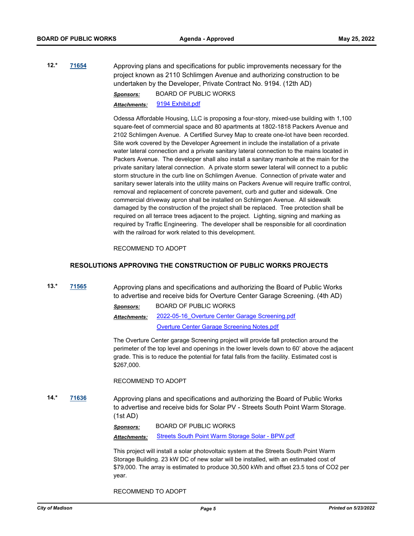**12.\* [71654](http://madison.legistar.com/gateway.aspx?m=l&id=/matter.aspx?key=83524)** Approving plans and specifications for public improvements necessary for the project known as 2110 Schlimgen Avenue and authorizing construction to be undertaken by the Developer, Private Contract No. 9194. (12th AD) *Sponsors:* BOARD OF PUBLIC WORKS

*Attachments:* [9194 Exhibit.pdf](http://madison.legistar.com/gateway.aspx?M=F&ID=f0ab9264-dbd5-4293-9320-97783e069465.pdf)

Odessa Affordable Housing, LLC is proposing a four-story, mixed-use building with 1,100 square-feet of commercial space and 80 apartments at 1802-1818 Packers Avenue and 2102 Schlimgen Avenue. A Certified Survey Map to create one-lot have been recorded. Site work covered by the Developer Agreement in include the installation of a private water lateral connection and a private sanitary lateral connection to the mains located in Packers Avenue. The developer shall also install a sanitary manhole at the main for the private sanitary lateral connection. A private storm sewer lateral will connect to a public storm structure in the curb line on Schlimgen Avenue. Connection of private water and sanitary sewer laterals into the utility mains on Packers Avenue will require traffic control, removal and replacement of concrete pavement, curb and gutter and sidewalk. One commercial driveway apron shall be installed on Schlimgen Avenue. All sidewalk damaged by the construction of the project shall be replaced. Tree protection shall be required on all terrace trees adjacent to the project. Lighting, signing and marking as required by Traffic Engineering. The developer shall be responsible for all coordination with the railroad for work related to this development.

#### RECOMMEND TO ADOPT

## **RESOLUTIONS APPROVING THE CONSTRUCTION OF PUBLIC WORKS PROJECTS**

**13.\* [71565](http://madison.legistar.com/gateway.aspx?m=l&id=/matter.aspx?key=83450)** Approving plans and specifications and authorizing the Board of Public Works to advertise and receive bids for Overture Center Garage Screening. (4th AD)

> *Sponsors:* BOARD OF PUBLIC WORKS *Attachments:*

[2022-05-16\\_Overture Center Garage Screening.pdf](http://madison.legistar.com/gateway.aspx?M=F&ID=2b153481-8e3c-4874-b9f4-6b9b5a83988b.pdf)

[Overture Center Garage Screening Notes.pdf](http://madison.legistar.com/gateway.aspx?M=F&ID=9394db62-6c7e-4fb5-be32-e6faa2fc2f96.pdf)

The Overture Center garage Screening project will provide fall protection around the perimeter of the top level and openings in the lower levels down to 60' above the adjacent grade. This is to reduce the potential for fatal falls from the facility. Estimated cost is \$267,000.

RECOMMEND TO ADOPT

**14.\* [71636](http://madison.legistar.com/gateway.aspx?m=l&id=/matter.aspx?key=83506)** Approving plans and specifications and authorizing the Board of Public Works to advertise and receive bids for Solar PV - Streets South Point Warm Storage. (1st AD)

*Sponsors:* BOARD OF PUBLIC WORKS

*Attachments:* [Streets South Point Warm Storage Solar - BPW.pdf](http://madison.legistar.com/gateway.aspx?M=F&ID=65ee07fd-7e06-46da-a48b-b6acb15eaff1.pdf)

This project will install a solar photovoltaic system at the Streets South Point Warm Storage Building. 23 kW DC of new solar will be installed, with an estimated cost of \$79,000. The array is estimated to produce 30,500 kWh and offset 23.5 tons of CO2 per year.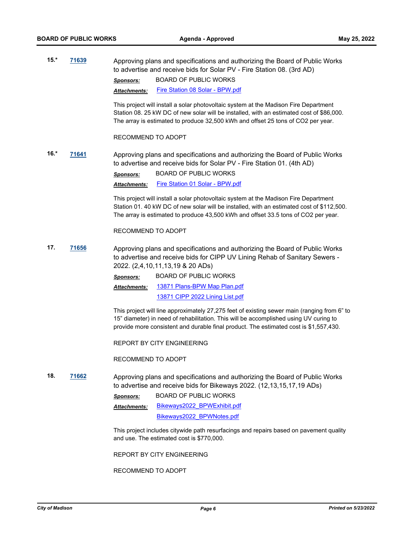**15.\* [71639](http://madison.legistar.com/gateway.aspx?m=l&id=/matter.aspx?key=83509)** Approving plans and specifications and authorizing the Board of Public Works to advertise and receive bids for Solar PV - Fire Station 08. (3rd AD) *Sponsors:* BOARD OF PUBLIC WORKS

*Attachments:* [Fire Station 08 Solar - BPW.pdf](http://madison.legistar.com/gateway.aspx?M=F&ID=0aab7441-0bcf-45d6-8faf-b58a0209b582.pdf)

This project will install a solar photovoltaic system at the Madison Fire Department Station 08. 25 kW DC of new solar will be installed, with an estimated cost of \$86,000. The array is estimated to produce 32,500 kWh and offset 25 tons of CO2 per year.

RECOMMEND TO ADOPT

**16.\* [71641](http://madison.legistar.com/gateway.aspx?m=l&id=/matter.aspx?key=83511)** Approving plans and specifications and authorizing the Board of Public Works to advertise and receive bids for Solar PV - Fire Station 01. (4th AD) *Sponsors:* BOARD OF PUBLIC WORKS *Attachments:* [Fire Station 01 Solar - BPW.pdf](http://madison.legistar.com/gateway.aspx?M=F&ID=ec0b06be-e670-4b26-93be-b197512d63db.pdf)

> This project will install a solar photovoltaic system at the Madison Fire Department Station 01. 40 kW DC of new solar will be installed, with an estimated cost of \$112,500. The array is estimated to produce 43,500 kWh and offset 33.5 tons of CO2 per year.

RECOMMEND TO ADOPT

**17. [71656](http://madison.legistar.com/gateway.aspx?m=l&id=/matter.aspx?key=83526)** Approving plans and specifications and authorizing the Board of Public Works to advertise and receive bids for CIPP UV Lining Rehab of Sanitary Sewers - 2022. (2,4,10,11,13,19 & 20 ADs)

> *Sponsors:* BOARD OF PUBLIC WORKS [13871 Plans-BPW Map Plan.pdf](http://madison.legistar.com/gateway.aspx?M=F&ID=85d91df7-36c3-4a63-8e57-2ae862a84ce9.pdf) *Attachments:*

> > [13871 CIPP 2022 Lining List.pdf](http://madison.legistar.com/gateway.aspx?M=F&ID=276e6d89-bfd8-454c-81cf-9fc3c4fd78db.pdf)

This project will line approximately 27,275 feet of existing sewer main (ranging from 6" to 15" diameter) in need of rehabilitation. This will be accomplished using UV curing to provide more consistent and durable final product. The estimated cost is \$1,557,430.

REPORT BY CITY ENGINEERING

RECOMMEND TO ADOPT

**18. [71662](http://madison.legistar.com/gateway.aspx?m=l&id=/matter.aspx?key=83532)** Approving plans and specifications and authorizing the Board of Public Works to advertise and receive bids for Bikeways 2022. (12,13,15,17,19 ADs)

> *Sponsors:* BOARD OF PUBLIC WORKS [Bikeways2022\\_BPWExhibit.pdf](http://madison.legistar.com/gateway.aspx?M=F&ID=ed1d5619-a75a-4a23-8dac-247945142b5b.pdf) [Bikeways2022\\_BPWNotes.pdf](http://madison.legistar.com/gateway.aspx?M=F&ID=03b64715-f49a-48aa-9e6e-8fe9017e33f7.pdf) *Attachments:*

This project includes citywide path resurfacings and repairs based on pavement quality and use. The estimated cost is \$770,000.

REPORT BY CITY ENGINEERING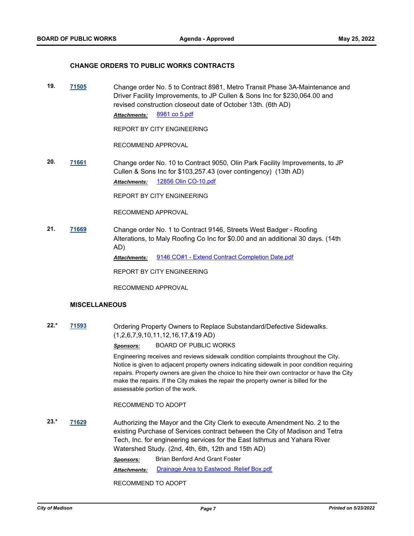#### **CHANGE ORDERS TO PUBLIC WORKS CONTRACTS**

**19. [71505](http://madison.legistar.com/gateway.aspx?m=l&id=/matter.aspx?key=83395)** Change order No. 5 to Contract 8981, Metro Transit Phase 3A-Maintenance and Driver Facility Improvements, to JP Cullen & Sons Inc for \$230,064.00 and revised construction closeout date of October 13th. (6th AD) *Attachments:* [8981 co 5.pdf](http://madison.legistar.com/gateway.aspx?M=F&ID=8779ea82-7c59-4bcd-871f-ed4f77529325.pdf)

REPORT BY CITY ENGINEERING

RECOMMEND APPROVAL

**20. [71661](http://madison.legistar.com/gateway.aspx?m=l&id=/matter.aspx?key=83531)** Change order No. 10 to Contract 9050, Olin Park Facility Improvements, to JP Cullen & Sons Inc for \$103,257.43 (over contingency) (13th AD) *Attachments:* [12856 Olin CO-10.pdf](http://madison.legistar.com/gateway.aspx?M=F&ID=3fe4f789-612d-42fd-b7b7-556d12ff0554.pdf)

REPORT BY CITY ENGINEERING

RECOMMEND APPROVAL

**21. [71669](http://madison.legistar.com/gateway.aspx?m=l&id=/matter.aspx?key=83539)** Change order No. 1 to Contract 9146, Streets West Badger - Roofing Alterations, to Maly Roofing Co Inc for \$0.00 and an additional 30 days. (14th AD)

*Attachments:* [9146 CO#1 - Extend Contract Completion Date.pdf](http://madison.legistar.com/gateway.aspx?M=F&ID=84df9f61-a24a-40e9-bb21-f464bd2c15cf.pdf)

REPORT BY CITY ENGINEERING

RECOMMEND APPROVAL

## **MISCELLANEOUS**

**22.\* [71593](http://madison.legistar.com/gateway.aspx?m=l&id=/matter.aspx?key=83473)** Ordering Property Owners to Replace Substandard/Defective Sidewalks. (1,2,6,7,9,10,11,12,16,17,&19 AD)

*Sponsors:* BOARD OF PUBLIC WORKS

Engineering receives and reviews sidewalk condition complaints throughout the City. Notice is given to adjacent property owners indicating sidewalk in poor condition requiring repairs. Property owners are given the choice to hire their own contractor or have the City make the repairs. If the City makes the repair the property owner is billed for the assessable portion of the work.

#### RECOMMEND TO ADOPT

**23.\* [71629](http://madison.legistar.com/gateway.aspx?m=l&id=/matter.aspx?key=83499)** Authorizing the Mayor and the City Clerk to execute Amendment No. 2 to the existing Purchase of Services contract between the City of Madison and Tetra Tech, Inc. for engineering services for the East Isthmus and Yahara River Watershed Study. (2nd, 4th, 6th, 12th and 15th AD) *Sponsors:* Brian Benford And Grant Foster *Attachments:* [Drainage Area to Eastwood Relief Box.pdf](http://madison.legistar.com/gateway.aspx?M=F&ID=f3e89ba2-35a6-48f1-ab43-a4a345b1686a.pdf)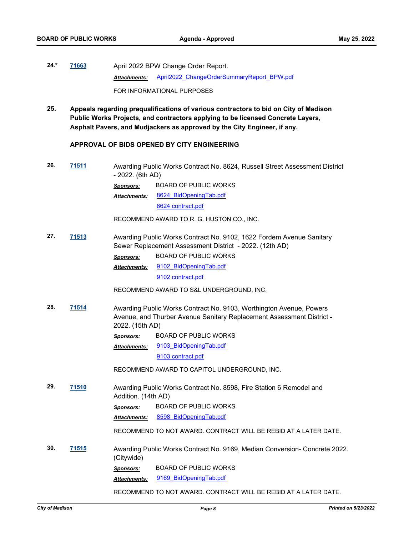- **24.\* [71663](http://madison.legistar.com/gateway.aspx?m=l&id=/matter.aspx?key=83533)** April 2022 BPW Change Order Report. Attachments: April2022 ChangeOrderSummaryReport\_BPW.pdf FOR INFORMATIONAL PURPOSES
- **25. Appeals regarding prequalifications of various contractors to bid on City of Madison Public Works Projects, and contractors applying to be licensed Concrete Layers, Asphalt Pavers, and Mudjackers as approved by the City Engineer, if any.**

#### **APPROVAL OF BIDS OPENED BY CITY ENGINEERING**

**26. [71511](http://madison.legistar.com/gateway.aspx?m=l&id=/matter.aspx?key=83401)** Awarding Public Works Contract No. 8624, Russell Street Assessment District - 2022. (6th AD) *Sponsors:* BOARD OF PUBLIC WORKS [8624\\_BidOpeningTab.pdf](http://madison.legistar.com/gateway.aspx?M=F&ID=b18ac87d-957f-4bda-bab7-274454d8f5a3.pdf) [8624 contract.pdf](http://madison.legistar.com/gateway.aspx?M=F&ID=cd398969-8809-4ea5-927f-13d23f763fa8.pdf) *Attachments:* RECOMMEND AWARD TO R. G. HUSTON CO., INC. **27. [71513](http://madison.legistar.com/gateway.aspx?m=l&id=/matter.aspx?key=83403)** Awarding Public Works Contract No. 9102, 1622 Fordem Avenue Sanitary Sewer Replacement Assessment District - 2022. (12th AD) *Sponsors:* BOARD OF PUBLIC WORKS [9102\\_BidOpeningTab.pdf](http://madison.legistar.com/gateway.aspx?M=F&ID=2ed75b66-3aa5-4f0c-a782-8d3bf9255c45.pdf) [9102 contract.pdf](http://madison.legistar.com/gateway.aspx?M=F&ID=5d8bf5b9-bfea-4cd4-925b-6faae59c7959.pdf) *Attachments:* RECOMMEND AWARD TO S&L UNDERGROUND, INC. **28. [71514](http://madison.legistar.com/gateway.aspx?m=l&id=/matter.aspx?key=83404)** Awarding Public Works Contract No. 9103, Worthington Avenue, Powers Avenue, and Thurber Avenue Sanitary Replacement Assessment District - 2022. (15th AD) *Sponsors:* BOARD OF PUBLIC WORKS 9103 BidOpeningTab.pdf [9103 contract.pdf](http://madison.legistar.com/gateway.aspx?M=F&ID=0ef1ddb7-1724-46ff-b2bc-bfe7ab330d41.pdf) *Attachments:* RECOMMEND AWARD TO CAPITOL UNDERGROUND, INC. **29. [71510](http://madison.legistar.com/gateway.aspx?m=l&id=/matter.aspx?key=83400)** Awarding Public Works Contract No. 8598, Fire Station 6 Remodel and Addition. (14th AD) *Sponsors:* BOARD OF PUBLIC WORKS *Attachments:* [8598\\_BidOpeningTab.pdf](http://madison.legistar.com/gateway.aspx?M=F&ID=de09dcd2-d4bd-448e-a7ef-13a4aa48997c.pdf) RECOMMEND TO NOT AWARD. CONTRACT WILL BE REBID AT A LATER DATE. **30. [71515](http://madison.legistar.com/gateway.aspx?m=l&id=/matter.aspx?key=83405)** Awarding Public Works Contract No. 9169, Median Conversion- Concrete 2022. (Citywide) *Sponsors:* BOARD OF PUBLIC WORKS *Attachments:* [9169\\_BidOpeningTab.pdf](http://madison.legistar.com/gateway.aspx?M=F&ID=f87f73e0-2e8c-47ba-b173-139e8e260cc4.pdf)

RECOMMEND TO NOT AWARD. CONTRACT WILL BE REBID AT A LATER DATE.